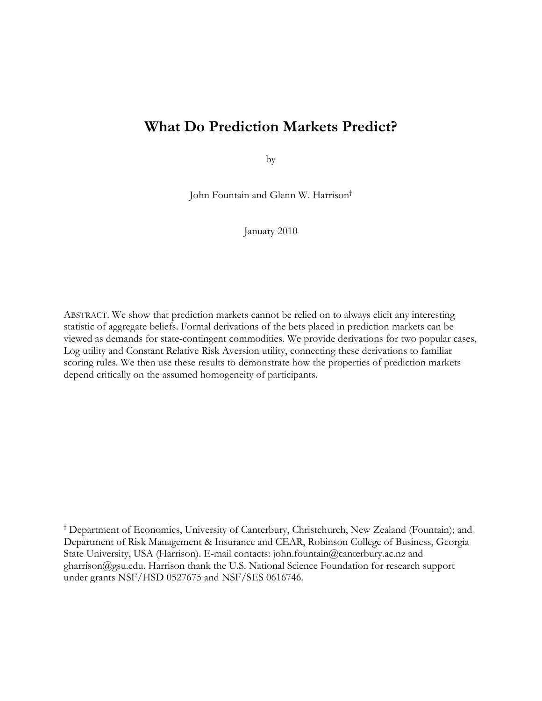# **What Do Prediction Markets Predict?**

by

John Fountain and Glenn W. Harrison†

January 2010

ABSTRACT. We show that prediction markets cannot be relied on to always elicit any interesting statistic of aggregate beliefs. Formal derivations of the bets placed in prediction markets can be viewed as demands for state-contingent commodities. We provide derivations for two popular cases, Log utility and Constant Relative Risk Aversion utility, connecting these derivations to familiar scoring rules. We then use these results to demonstrate how the properties of prediction markets depend critically on the assumed homogeneity of participants.

† Department of Economics, University of Canterbury, Christchurch, New Zealand (Fountain); and Department of Risk Management & Insurance and CEAR, Robinson College of Business, Georgia State University, USA (Harrison). E-mail contacts: john.fountain@canterbury.ac.nz and gharrison@gsu.edu. Harrison thank the U.S. National Science Foundation for research support under grants NSF/HSD 0527675 and NSF/SES 0616746.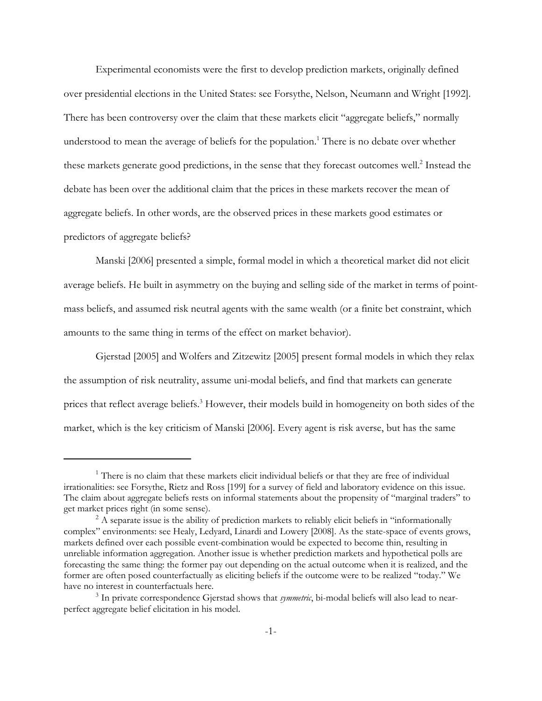Experimental economists were the first to develop prediction markets, originally defined over presidential elections in the United States: see Forsythe, Nelson, Neumann and Wright [1992]. There has been controversy over the claim that these markets elicit "aggregate beliefs," normally understood to mean the average of beliefs for the population.<sup>1</sup> There is no debate over whether these markets generate good predictions, in the sense that they forecast outcomes well.<sup>2</sup> Instead the debate has been over the additional claim that the prices in these markets recover the mean of aggregate beliefs. In other words, are the observed prices in these markets good estimates or predictors of aggregate beliefs?

Manski [2006] presented a simple, formal model in which a theoretical market did not elicit average beliefs. He built in asymmetry on the buying and selling side of the market in terms of pointmass beliefs, and assumed risk neutral agents with the same wealth (or a finite bet constraint, which amounts to the same thing in terms of the effect on market behavior).

Gjerstad [2005] and Wolfers and Zitzewitz [2005] present formal models in which they relax the assumption of risk neutrality, assume uni-modal beliefs, and find that markets can generate prices that reflect average beliefs.<sup>3</sup> However, their models build in homogeneity on both sides of the market, which is the key criticism of Manski [2006]. Every agent is risk averse, but has the same

 $1$ <sup>1</sup> There is no claim that these markets elicit individual beliefs or that they are free of individual irrationalities: see Forsythe, Rietz and Ross [199] for a survey of field and laboratory evidence on this issue. The claim about aggregate beliefs rests on informal statements about the propensity of "marginal traders" to get market prices right (in some sense).

 $2^2$  A separate issue is the ability of prediction markets to reliably elicit beliefs in "informationally complex" environments: see Healy, Ledyard, Linardi and Lowery [2008]. As the state-space of events grows, markets defined over each possible event-combination would be expected to become thin, resulting in unreliable information aggregation. Another issue is whether prediction markets and hypothetical polls are forecasting the same thing: the former pay out depending on the actual outcome when it is realized, and the former are often posed counterfactually as eliciting beliefs if the outcome were to be realized "today." We have no interest in counterfactuals here.

<sup>3</sup> In private correspondence Gjerstad shows that *symmetric*, bi-modal beliefs will also lead to nearperfect aggregate belief elicitation in his model.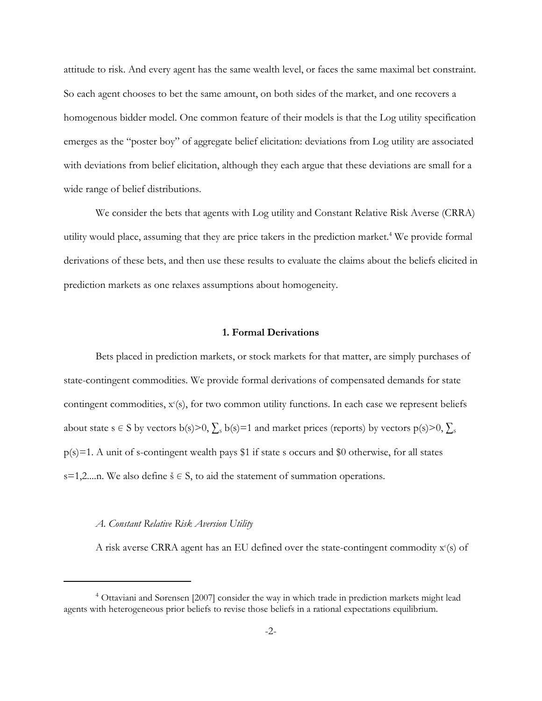attitude to risk. And every agent has the same wealth level, or faces the same maximal bet constraint. So each agent chooses to bet the same amount, on both sides of the market, and one recovers a homogenous bidder model. One common feature of their models is that the Log utility specification emerges as the "poster boy" of aggregate belief elicitation: deviations from Log utility are associated with deviations from belief elicitation, although they each argue that these deviations are small for a wide range of belief distributions.

We consider the bets that agents with Log utility and Constant Relative Risk Averse (CRRA) utility would place, assuming that they are price takers in the prediction market.<sup>4</sup> We provide formal derivations of these bets, and then use these results to evaluate the claims about the beliefs elicited in prediction markets as one relaxes assumptions about homogeneity.

### **1. Formal Derivations**

Bets placed in prediction markets, or stock markets for that matter, are simply purchases of state-contingent commodities. We provide formal derivations of compensated demands for state contingent commodities,  $x^c(s)$ , for two common utility functions. In each case we represent beliefs about state s  $\in S$  by vectors b(s) $>0$ ,  $\sum_{s}$  b(s)=1 and market prices (reports) by vectors p(s) $>0$ ,  $\sum_{s}$  $p(s)=1$ . A unit of s-contingent wealth pays \$1 if state s occurs and \$0 otherwise, for all states s=1,2....n. We also define  $\check{s} \in S$ , to aid the statement of summation operations.

#### *A. Constant Relative Risk Aversion Utility*

A risk averse CRRA agent has an EU defined over the state-contingent commodity x°(s) of

<sup>4</sup> Ottaviani and Sørensen [2007] consider the way in which trade in prediction markets might lead agents with heterogeneous prior beliefs to revise those beliefs in a rational expectations equilibrium.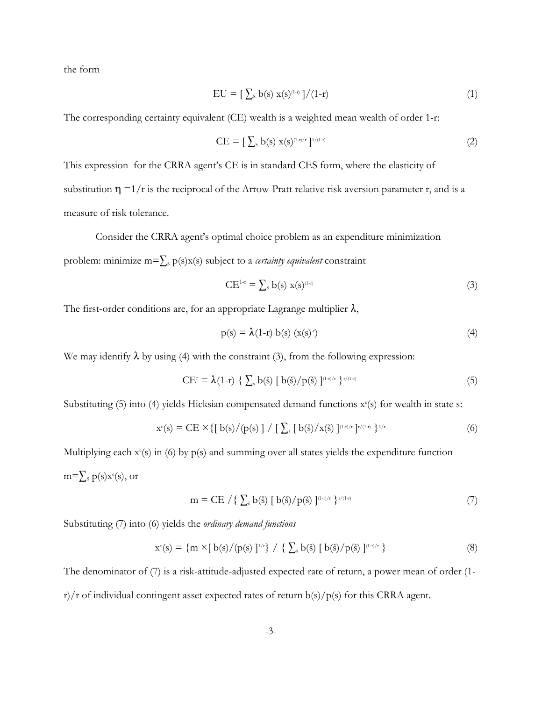the form

$$
EU = [\sum_{s} b(s) x(s)^{(1-r)}]/(1-r)
$$
\n(1)

The corresponding certainty equivalent (CE) wealth is a weighted mean wealth of order 1-r:

$$
CE = [\sum_{s} b(s) x(s)^{(1-r)/r}]^{1/(1-r)}
$$
\n(2)

This expression for the CRRA agent's CE is in standard CES form, where the elasticity of substitution  $\eta =1/r$  is the reciprocal of the Arrow-Pratt relative risk aversion parameter r, and is a measure of risk tolerance.

Consider the CRRA agent's optimal choice problem as an expenditure minimization problem: minimize m= $\sum s p(s)x(s)$  subject to a *certainty equivalent* constraint

$$
CE^{1-r} = \sum_{s} b(s) x(s)^{(1-r)}
$$
 (3)

The first-order conditions are, for an appropriate Lagrange multiplier  $\lambda$ ,

$$
p(s) = \lambda(1-r) b(s) (x(s)^{r})
$$
\n(4)

We may identify  $\lambda$  by using (4) with the constraint (3), from the following expression:

$$
CE^{r} = \lambda(1-r) \{ \sum_{\dot{s}} b(\dot{s}) [b(\dot{s})/p(\dot{s})]^{(1-r)/r} \}^{r/(1-r)}
$$
(5)

Substituting  $(5)$  into  $(4)$  yields Hicksian compensated demand functions  $x^c(s)$  for wealth in state s:

$$
x^{c}(s) = CE \times \{ [b(s) / (p(s)] / [ \sum_{\tilde{s}} [b(\tilde{s}) / x(\tilde{s}) ]^{(1 \cdot r)/r} ]^{r/(1 \cdot r)} \}^{1/r}
$$
(6)

Multiplying each  $x^c(s)$  in (6) by  $p(s)$  and summing over all states yields the expenditure function m= $\sum_{\text{s}} \text{p(s)} \text{x}^{\text{c}}(\text{s})$ , or

$$
m = CE / \{ \sum_{\dot{s}} b(\dot{s}) [b(\dot{s})/p(\dot{s})]^{(1\cdot t)/r} \}^{r/(1\cdot t)}
$$
(7)

Substituting (7) into (6) yields the *ordinary demand functions*

$$
x^{\circ}(s) = \{ m \times [b(s)/(p(s)]^{1/r} \} / \{ \sum_{s} b(\check{s}) [b(\check{s})/p(\check{s})]^{(1-r)/r} \}
$$
(8)

The denominator of (7) is a risk-attitude-adjusted expected rate of return, a power mean of order (1 r)/r of individual contingent asset expected rates of return  $b(s)/p(s)$  for this CRRA agent.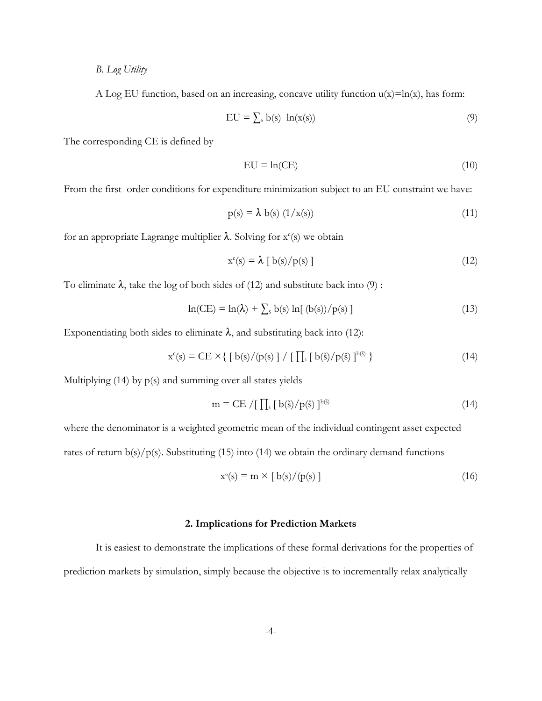*B. Log Utility*

A Log EU function, based on an increasing, concave utility function  $u(x)=ln(x)$ , has form:

$$
EU = \sum_{s} b(s) \ln(x(s)) \tag{9}
$$

The corresponding CE is defined by

$$
EU = ln(CE)
$$
 (10)

From the first order conditions for expenditure minimization subject to an EU constraint we have:

$$
p(s) = \lambda b(s) (1/x(s)) \tag{11}
$$

for an appropriate Lagrange multiplier  $\lambda$ . Solving for  $x^c(s)$  we obtain

$$
x^{c}(s) = \lambda [b(s)/p(s)] \qquad (12)
$$

To eliminate  $\lambda$ , take the log of both sides of (12) and substitute back into (9):

$$
\ln(CE) = \ln(\lambda) + \sum_{s} b(s) \ln[(b(s))/p(s)] \tag{13}
$$

Exponentiating both sides to eliminate  $\lambda$ , and substituting back into (12):

$$
x^{c}(s) = CE \times \{ [b(s) / (p(s)] / [ \prod_{s} [b(\tilde{s}) / p(\tilde{s})]^{b(\tilde{s})} \}
$$
\n(14)

Multiplying  $(14)$  by  $p(s)$  and summing over all states yields

$$
m = CE / [\prod_{s} [b(\tilde{s})/p(\tilde{s})]^{b(\tilde{s})}
$$
\n(14)

where the denominator is a weighted geometric mean of the individual contingent asset expected

rates of return  $b(s)/p(s)$ . Substituting (15) into (14) we obtain the ordinary demand functions

$$
x^{\circ}(s) = m \times [b(s) / (p(s))]
$$
\n(16)

#### **2. Implications for Prediction Markets**

It is easiest to demonstrate the implications of these formal derivations for the properties of prediction markets by simulation, simply because the objective is to incrementally relax analytically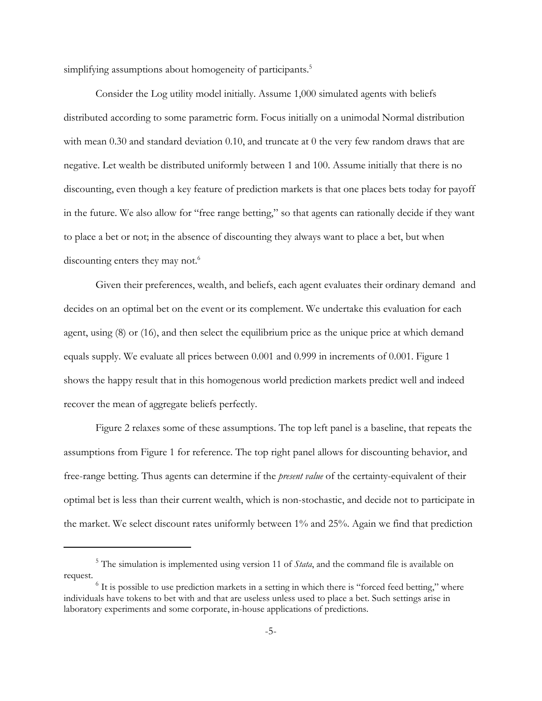simplifying assumptions about homogeneity of participants.<sup>5</sup>

Consider the Log utility model initially. Assume 1,000 simulated agents with beliefs distributed according to some parametric form. Focus initially on a unimodal Normal distribution with mean 0.30 and standard deviation 0.10, and truncate at 0 the very few random draws that are negative. Let wealth be distributed uniformly between 1 and 100. Assume initially that there is no discounting, even though a key feature of prediction markets is that one places bets today for payoff in the future. We also allow for "free range betting," so that agents can rationally decide if they want to place a bet or not; in the absence of discounting they always want to place a bet, but when discounting enters they may not.<sup>6</sup>

Given their preferences, wealth, and beliefs, each agent evaluates their ordinary demand and decides on an optimal bet on the event or its complement. We undertake this evaluation for each agent, using (8) or (16), and then select the equilibrium price as the unique price at which demand equals supply. We evaluate all prices between 0.001 and 0.999 in increments of 0.001. Figure 1 shows the happy result that in this homogenous world prediction markets predict well and indeed recover the mean of aggregate beliefs perfectly.

Figure 2 relaxes some of these assumptions. The top left panel is a baseline, that repeats the assumptions from Figure 1 for reference. The top right panel allows for discounting behavior, and free-range betting. Thus agents can determine if the *present value* of the certainty-equivalent of their optimal bet is less than their current wealth, which is non-stochastic, and decide not to participate in the market. We select discount rates uniformly between 1% and 25%. Again we find that prediction

<sup>5</sup> The simulation is implemented using version 11 of *Stata*, and the command file is available on request.

 $6$  It is possible to use prediction markets in a setting in which there is "forced feed betting," where individuals have tokens to bet with and that are useless unless used to place a bet. Such settings arise in laboratory experiments and some corporate, in-house applications of predictions.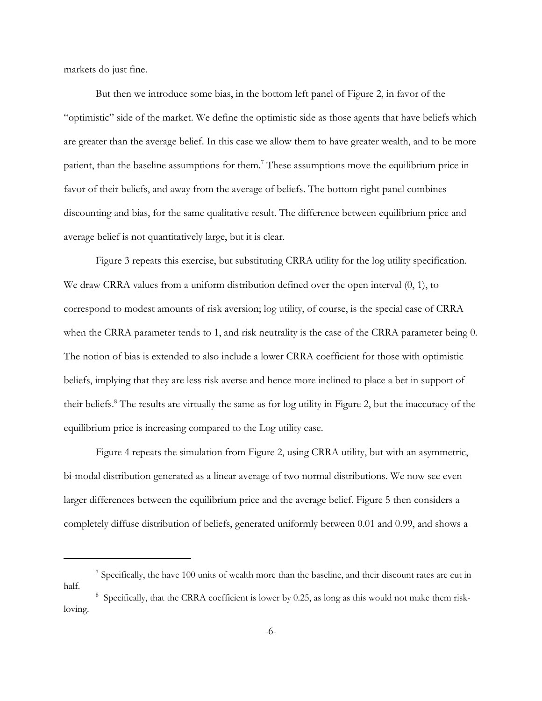markets do just fine.

But then we introduce some bias, in the bottom left panel of Figure 2, in favor of the "optimistic" side of the market. We define the optimistic side as those agents that have beliefs which are greater than the average belief. In this case we allow them to have greater wealth, and to be more patient, than the baseline assumptions for them.<sup>7</sup> These assumptions move the equilibrium price in favor of their beliefs, and away from the average of beliefs. The bottom right panel combines discounting and bias, for the same qualitative result. The difference between equilibrium price and average belief is not quantitatively large, but it is clear.

Figure 3 repeats this exercise, but substituting CRRA utility for the log utility specification. We draw CRRA values from a uniform distribution defined over the open interval  $(0, 1)$ , to correspond to modest amounts of risk aversion; log utility, of course, is the special case of CRRA when the CRRA parameter tends to 1, and risk neutrality is the case of the CRRA parameter being 0. The notion of bias is extended to also include a lower CRRA coefficient for those with optimistic beliefs, implying that they are less risk averse and hence more inclined to place a bet in support of their beliefs.<sup>8</sup> The results are virtually the same as for log utility in Figure 2, but the inaccuracy of the equilibrium price is increasing compared to the Log utility case.

Figure 4 repeats the simulation from Figure 2, using CRRA utility, but with an asymmetric, bi-modal distribution generated as a linear average of two normal distributions. We now see even larger differences between the equilibrium price and the average belief. Figure 5 then considers a completely diffuse distribution of beliefs, generated uniformly between 0.01 and 0.99, and shows a

<sup>&</sup>lt;sup>7</sup> Specifically, the have 100 units of wealth more than the baseline, and their discount rates are cut in half.

<sup>&</sup>lt;sup>8</sup> Specifically, that the CRRA coefficient is lower by 0.25, as long as this would not make them riskloving.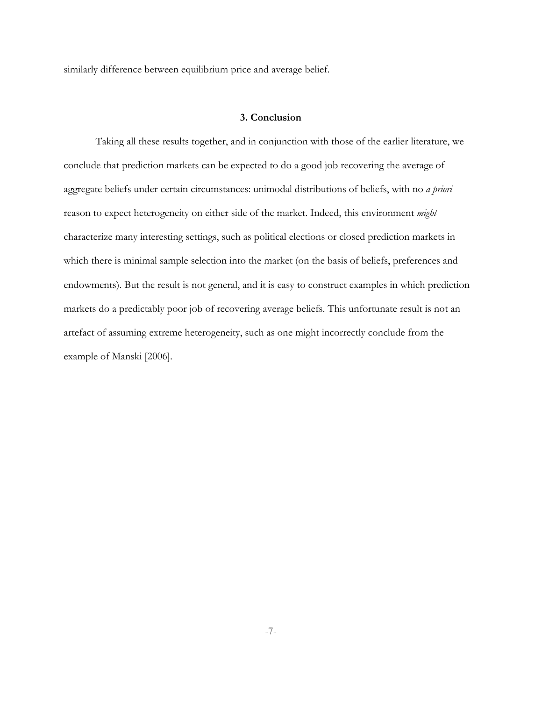similarly difference between equilibrium price and average belief.

## **3. Conclusion**

Taking all these results together, and in conjunction with those of the earlier literature, we conclude that prediction markets can be expected to do a good job recovering the average of aggregate beliefs under certain circumstances: unimodal distributions of beliefs, with no *a priori* reason to expect heterogeneity on either side of the market. Indeed, this environment *might* characterize many interesting settings, such as political elections or closed prediction markets in which there is minimal sample selection into the market (on the basis of beliefs, preferences and endowments). But the result is not general, and it is easy to construct examples in which prediction markets do a predictably poor job of recovering average beliefs. This unfortunate result is not an artefact of assuming extreme heterogeneity, such as one might incorrectly conclude from the example of Manski [2006].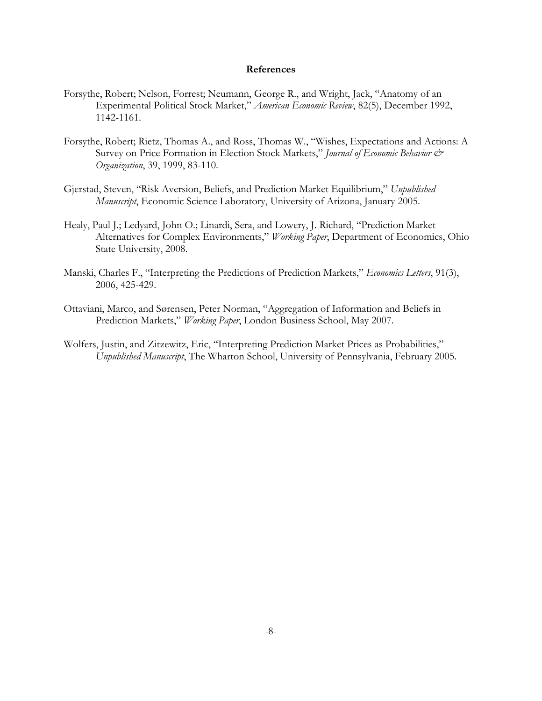#### **References**

- Forsythe, Robert; Nelson, Forrest; Neumann, George R., and Wright, Jack, "Anatomy of an Experimental Political Stock Market," *American Economic Review*, 82(5), December 1992, 1142-1161.
- Forsythe, Robert; Rietz, Thomas A., and Ross, Thomas W., "Wishes, Expectations and Actions: A Survey on Price Formation in Election Stock Markets," *Journal of Economic Behavior & Organization*, 39, 1999, 83-110.
- Gjerstad, Steven, "Risk Aversion, Beliefs, and Prediction Market Equilibrium," *Unpublished Manuscript*, Economic Science Laboratory, University of Arizona, January 2005.
- Healy, Paul J.; Ledyard, John O.; Linardi, Sera, and Lowery, J. Richard, "Prediction Market Alternatives for Complex Environments," *Working Paper*, Department of Economics, Ohio State University, 2008.
- Manski, Charles F., "Interpreting the Predictions of Prediction Markets," *Economics Letters*, 91(3), 2006, 425-429.
- Ottaviani, Marco, and Sørensen, Peter Norman, "Aggregation of Information and Beliefs in Prediction Markets," *Working Paper*, London Business School, May 2007.
- Wolfers, Justin, and Zitzewitz, Eric, "Interpreting Prediction Market Prices as Probabilities," *Unpublished Manuscript*, The Wharton School, University of Pennsylvania, February 2005.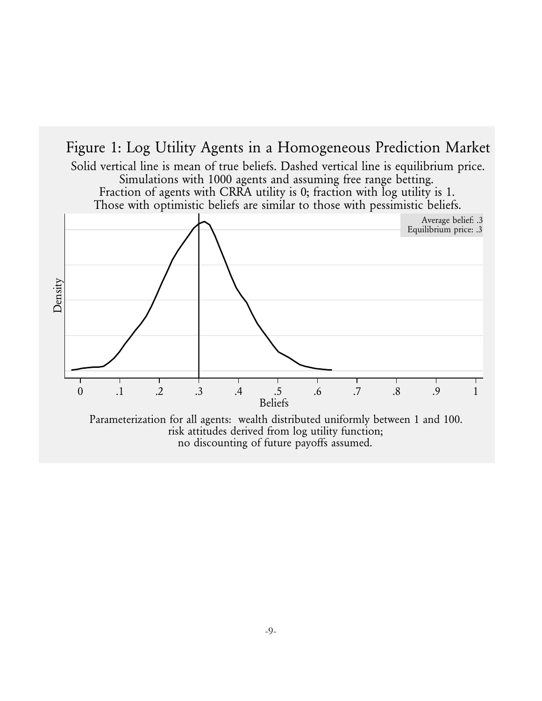

no discounting of future payoffs assumed.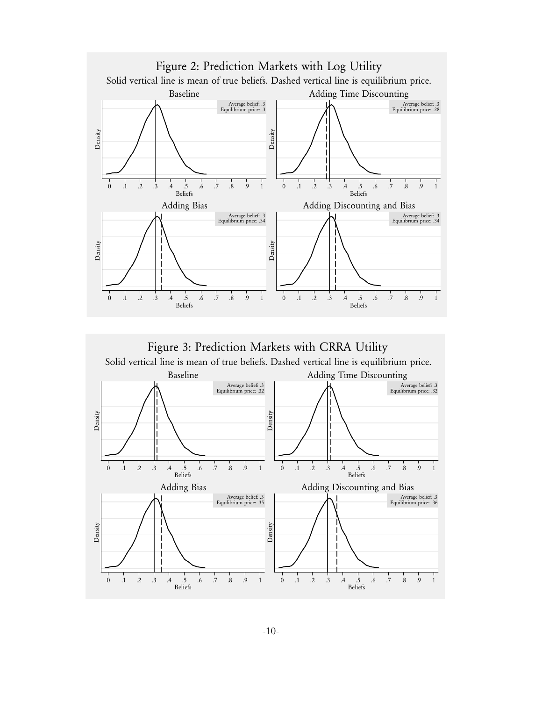